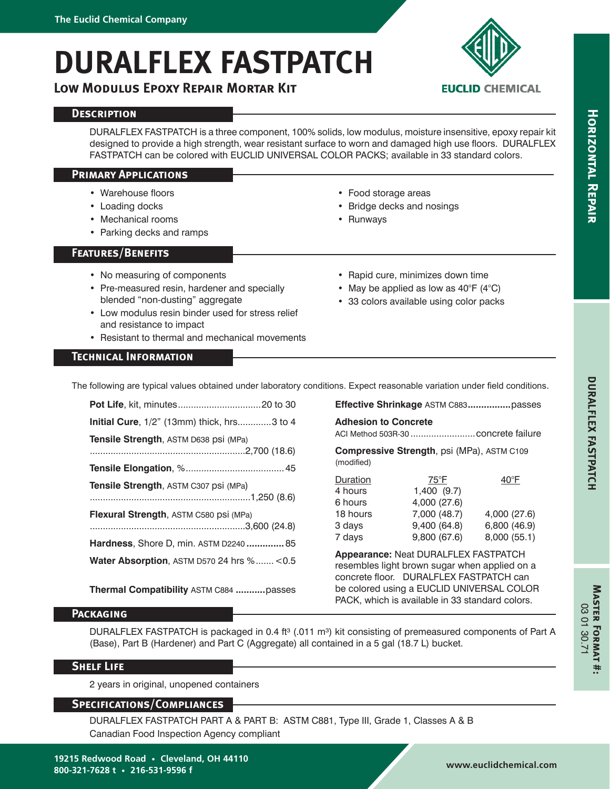# **DURALFLEX FASTPATCH**

**Low Modulus Epoxy Repair Mortar Kit**

## **Description**

DURALFLEX FASTPATCH is a three component, 100% solids, low modulus, moisture insensitive, epoxy repair kit designed to provide a high strength, wear resistant surface to worn and damaged high use floors. DURALFLEX FASTPATCH can be colored with EUCLID UNIVERSAL COLOR PACKS; available in 33 standard colors.

## **Primary Applications**

- Warehouse floors
- Loading docks
- Mechanical rooms
- Parking decks and ramps

## **Features/Benefits**

- No measuring of components
- Pre-measured resin, hardener and specially blended "non-dusting" aggregate
- Low modulus resin binder used for stress relief and resistance to impact
- Resistant to thermal and mechanical movements

# • Rapid cure, minimizes down time

• Food storage areas • Bridge decks and nosings

• Runways

- May be applied as low as  $40^{\circ}$ F ( $4^{\circ}$ C)
- 33 colors available using color packs

**EUCLID CHEMICAL** 

# **Technical Information**

The following are typical values obtained under laboratory conditions. The following are typical values obtained under laboratory conditions.

| Initial Cure, 1/2" (13mm) thick, hrs3 to 4           |
|------------------------------------------------------|
| Tensile Strength, ASTM D638 psi (MPa)                |
|                                                      |
| Tensile Strength, ASTM C307 psi (MPa)                |
| Flexural Strength, ASTM C580 psi (MPa)               |
| Hardness, Shore D, min. ASTM D2240 85                |
| <b>Water Absorption, ASTM D570 24 hrs % &lt; 0.5</b> |

**Thermal Compatibility** ASTM C884 **...........**passes

| ons. Expect reasonable variation under field conditions |  |
|---------------------------------------------------------|--|
| Effective Shrinkage ASTM C883passes                     |  |
| <b>Adhesion to Concrete</b>                             |  |
|                                                         |  |

**Compressive Strength**, psi (MPa), ASTM C109 (modified)

| 4,000 (27.6) |
|--------------|
| 6,800 (46.9) |
| 8,000 (55.1) |
|              |

**Appearance:** Neat DURALFLEX FASTPATCH resembles light brown sugar when applied on a concrete floor. DURALFLEX FASTPATCH can be colored using a EUCLID UNIVERSAL COLOR PACK, which is available in 33 standard colors.

# **Packaging**

DURALFLEX FASTPATCH is packaged in 0.4 ft<sup>3</sup> (.011 m<sup>3</sup>) kit consisting of premeasured components of Part A (Base), Part B (Hardener) and Part C (Aggregate) all contained in a 5 gal (18.7 L) bucket.

## **Shelf Life**

2 years in original, unopened containers

## **Specifications/Compliances**

DURALFLEX FASTPATCH PART A & PART B: ASTM C881, Type III, Grade 1, Classes A & B Canadian Food Inspection Agency compliant